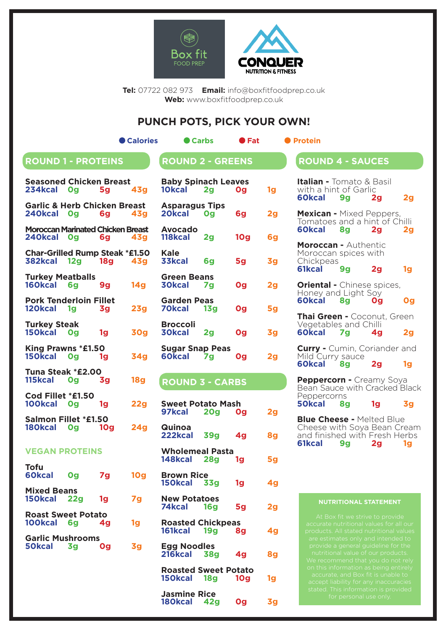



**Tel:** 07722 082 973 **Email:** info@boxfitfoodprep.co.uk **Web:** www.boxfitfoodprep.co.uk

## **PUNCH POTS, PICK YOUR OWN!**

| <b>ROUND 1 - PROTEINS</b> |  |  |
|---------------------------|--|--|
|                           |  |  |
|                           |  |  |

**Calories Carbs CFat** Protein

# $R$ **OUND 2 - GREENS**

| <b>Seasoned Chicken Breast</b><br>234kcal Og             |    | 5g             | <b>43g</b>      |
|----------------------------------------------------------|----|----------------|-----------------|
| <b>Garlic &amp; Herb Chicken Breast</b><br>240kcal Og 6g |    |                | 43q             |
| <b>Moroccan Marinated Chicken Breast</b><br>240kcal Og   |    | <b>6g</b>      | 43 <sub>g</sub> |
| <b>Char-Grilled Rump Steak *£1.50</b><br>382kcal 12g 18g |    |                | <b>43g</b>      |
| <b>Turkey Meatballs</b><br>160kcal 6g                    |    | <b>9g</b>      | 14g             |
| <b>Pork Tenderloin Fillet</b><br>120kcal                 | 1g | 3g l           | 23g             |
| <b>Turkey Steak</b><br>150kcal Og                        |    | 1 <sub>g</sub> | <b>30g</b>      |
| King Prawns *£1.50<br>150kcal Og                         |    | 1q             | <b>34g</b>      |
| Tuna Steak *£2.00<br>115kcal                             | Og | 3q             | <b>18g</b>      |
| Cod Fillet *£1.50<br>100kcal 0g                          |    | 1q             | <b>22g</b>      |
| <b>Salmon Fillet *£1.50</b><br>180kcal Og                |    | <b>10g</b>     | <b>24g</b>      |
| <b>VEGAN PROTEINS</b>                                    |    |                |                 |
| Tofu<br>60kcal 0g                                        |    | 7g             | <b>10g</b>      |
| <b>Mixed Beans</b><br>150kcal 22g                        |    | 1g             | 7g              |
| <b>Roast Sweet Potato</b><br>100kcal 6q                  |    | 4 <sub>g</sub> | 1g              |
| <b>Garlic Mushrooms</b><br>50kcal                        | 3g | 0g             | 3g              |
|                                                          |    |                |                 |
|                                                          |    |                |                 |

| <b>Baby Spinach Leaves</b><br>10kcal 2g |                | <b>Og</b>       | 1g |
|-----------------------------------------|----------------|-----------------|----|
| <b>Asparagus Tips</b><br>20kcal Og      |                | 6g              | 2g |
| <b>Avocado</b><br>118kcal               | 2 <sub>g</sub> | 10 <sub>g</sub> | 6g |
| Kale<br>33kcal                          | 6q             | 5g              | 3g |
| <b>Green Beans</b><br><b>30kcal</b>     | <b>7g</b>      | Og              | 2g |
| <b>Garden Peas</b><br><b>70kcal</b>     | <b>13g</b>     | Og              | 5g |
| Broccoli<br><b>30kcal</b>               | 2g             | Og              | 3g |
| <b>Sugar Snap Peas</b><br>60kcal        |                | Og              | 20 |

# **ROUND 3 - CARBS**

| <b>Sweet Potato Mash</b><br>97kcal 20g Og      |                | 2g |
|------------------------------------------------|----------------|----|
| Quinoa<br>222kcal 39g 4g                       |                | 8g |
| <b>Wholemeal Pasta</b><br>148kcal 28g 1g       |                | 5g |
| <b>Brown Rice</b><br>150kcal 33g               | 1g             | 4g |
| <b>New Potatoes</b><br>74kcal 16g              | 5g             | 2g |
| <b>Roasted Chickpeas</b><br>161kcal 19g 8g     |                | 4g |
| <b>Egg Noodles</b><br>216kcal 38g              | 4 <sub>g</sub> | 8g |
| <b>Roasted Sweet Potato</b><br>150kcal 18g 10g |                | 1g |
| <b>Jasmine Rice</b><br>180kcal 42g             | Og             | 3g |

| <b>Italian -</b> Tomato & Basil<br>with a hint of Garlic<br>60kcal 9g                 |    | 2 <sub>g</sub> | 2g             |
|---------------------------------------------------------------------------------------|----|----------------|----------------|
| Mexican - Mixed Peppers,<br>Tomatoes and a hint of Chilli<br>60kcal 8q                |    | 2g             | 2g             |
| <b>Moroccan - Authentic</b><br>Moroccan spices with<br>Chickpeas<br>61kcal            | 9g | 2 <sub>g</sub> | 1g             |
| <b>Oriental - Chinese spices,</b><br>Honey and Light Soy<br>60kcal 8g                 |    | Og             | Og             |
| Thai Green - Coconut, Green<br>Vegetables and Chilli<br>60kcal 7g 4g                  |    |                | 2 <sub>g</sub> |
| <b>Curry -</b> Cumin, Coriander and<br>Mild Curry sauce<br>60kcal 8g                  |    | 2g             | 1g             |
| Peppercorn - Creamy Soya<br>Bean Sauce with Cracked Black<br>Peppercorns<br>50kcal 8g |    | 1 <sub>g</sub> | 3g             |
| <b>Blue Cheese - Melted Blue</b><br>Cheese with Soya Bean Cream                       |    |                |                |

**ROUND 4 - SAUCES**

Cheese with Soya Bean Cream and finished with Fresh Herbs **61kcal 9g 2g 1g**

#### **NUTRITIONAL STATEMENT**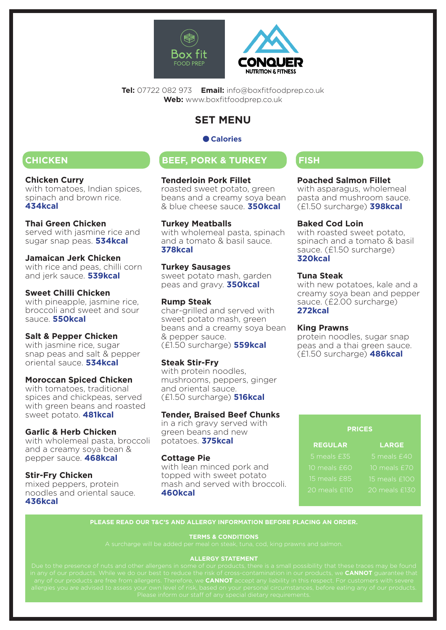



**Tel:** 07722 082 973 **Email:** info@boxfitfoodprep.co.uk **Web:** www.boxfitfoodprep.co.uk

# **SET MENU**

## **Calories**

#### **Chicken Curry**

with tomatoes, Indian spices, spinach and brown rice. **434kcal**

## **Thai Green Chicken**

served with jasmine rice and sugar snap peas. **534kcal**

#### **Jamaican Jerk Chicken**

with rice and peas, chilli corn and jerk sauce. **539kcal**

## **Sweet Chilli Chicken**

with pineapple, jasmine rice, broccoli and sweet and sour sauce. **550kcal**

## **Salt & Pepper Chicken**

with jasmine rice, sugar snap peas and salt & pepper oriental sauce. **534kcal**

## **Moroccan Spiced Chicken**

with tomatoes, traditional spices and chickpeas, served with green beans and roasted sweet potato. **481kcal**

## **Garlic & Herb Chicken**

with wholemeal pasta, broccoli and a creamy soya bean & pepper sauce. **468kcal**

#### **Stir-Fry Chicken**

mixed peppers, protein noodles and oriental sauce. **436kcal**

# **CHICKEN BEEF, PORK & TURKEY FISH**

#### **Tenderloin Pork Fillet**

roasted sweet potato, green beans and a creamy soya bean & blue cheese sauce. **350kcal**

## **Turkey Meatballs**

with wholemeal pasta, spinach and a tomato & basil sauce. **378kcal**

#### **Turkey Sausages**

sweet potato mash, garden peas and gravy. **350kcal**

#### **Rump Steak**

char-grilled and served with sweet potato mash, green beans and a creamy soya bean & pepper sauce. (£1.50 surcharge) **559kcal**

## **Steak Stir-Fry**

with protein noodles, mushrooms, peppers, ginger and oriental sauce. (£1.50 surcharge) **516kcal**

## **Tender, Braised Beef Chunks**

in a rich gravy served with green beans and new potatoes. **375kcal**

## **Cottage Pie**

with lean minced pork and topped with sweet potato mash and served with broccoli. **460kcal**

## **Poached Salmon Fillet**

with asparagus, wholemeal pasta and mushroom sauce. (£1.50 surcharge) **398kcal**

#### **Baked Cod Loin**

with roasted sweet potato, spinach and a tomato & basil sauce. (£1.50 surcharge) **320kcal**

## **Tuna Steak**

with new potatoes, kale and a creamy soya bean and pepper sauce. (£2.00 surcharge) **272kcal**

#### **King Prawns**

protein noodles, sugar snap peas and a thai green sauce. (£1.50 surcharge) **486kcal**

#### **PRICES**

| <b>REGULAR</b> | <b>LARGE</b>  |
|----------------|---------------|
| 5 meals £35    | 5 meals £40   |
| 10 meals £60   | 10 meals £70  |
| 15 meals £85   | 15 meals £100 |
| 20 meals £110  | 20 meals £13  |

#### **PLEASE READ OUR T&C'S AND ALLERGY INFORMATION BEFORE PLACING AN ORDER.**

#### **TERMS & CONDITIONS**

#### **ALLERGY STATEMENT**

in any of our products. While we do our best to reduce the risk of cross-contamination in our products, we **CANNOT** guarantee that any of our products are free from allergens. Therefore, we **CANNOT** accept any liability in this respect. For customers with severe